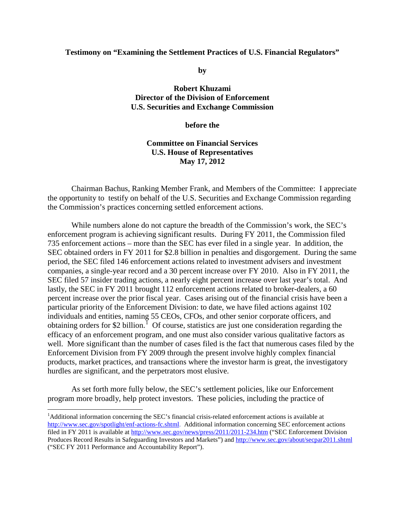#### **Testimony on "Examining the Settlement Practices of U.S. Financial Regulators"**

**by**

**Robert Khuzami Director of the Division of Enforcement U.S. Securities and Exchange Commission**

**before the**

# **Committee on Financial Services U.S. House of Representatives May 17, 2012**

Chairman Bachus, Ranking Member Frank, and Members of the Committee: I appreciate the opportunity to testify on behalf of the U.S. Securities and Exchange Commission regarding the Commission's practices concerning settled enforcement actions.

While numbers alone do not capture the breadth of the Commission's work, the SEC's enforcement program is achieving significant results. During FY 2011, the Commission filed 735 enforcement actions – more than the SEC has ever filed in a single year. In addition, the SEC obtained orders in FY 2011 for \$2.8 billion in penalties and disgorgement. During the same period, the SEC filed 146 enforcement actions related to investment advisers and investment companies, a single-year record and a 30 percent increase over FY 2010. Also in FY 2011, the SEC filed 57 insider trading actions, a nearly eight percent increase over last year's total. And lastly, the SEC in FY 2011 brought 112 enforcement actions related to broker-dealers, a 60 percent increase over the prior fiscal year. Cases arising out of the financial crisis have been a particular priority of the Enforcement Division: to date, we have filed actions against 102 individuals and entities, naming 55 CEOs, CFOs, and other senior corporate officers, and obtaining orders for \$2 billion.<sup>[1](#page-0-0)</sup> Of course, statistics are just one consideration regarding the efficacy of an enforcement program, and one must also consider various qualitative factors as well. More significant than the number of cases filed is the fact that numerous cases filed by the Enforcement Division from FY 2009 through the present involve highly complex financial products, market practices, and transactions where the investor harm is great, the investigatory hurdles are significant, and the perpetrators most elusive.

As set forth more fully below, the SEC's settlement policies, like our Enforcement program more broadly, help protect investors. These policies, including the practice of

<span id="page-0-0"></span><sup>&</sup>lt;sup>1</sup>Additional information concerning the SEC's financial crisis-related enforcement actions is available at [http://www.sec.gov/spotlight/enf-actions-fc.shtml.](http://www.sec.gov/spotlight/enf-actions-fc.shtml) Additional information concerning SEC enforcement actions filed in FY 2011 is available at <http://www.sec.gov/news/press/2011/2011-234.htm> ("SEC Enforcement Division Produces Record Results in Safeguarding Investors and Markets") and <http://www.sec.gov/about/secpar2011.shtml> ("SEC FY 2011 Performance and Accountability Report").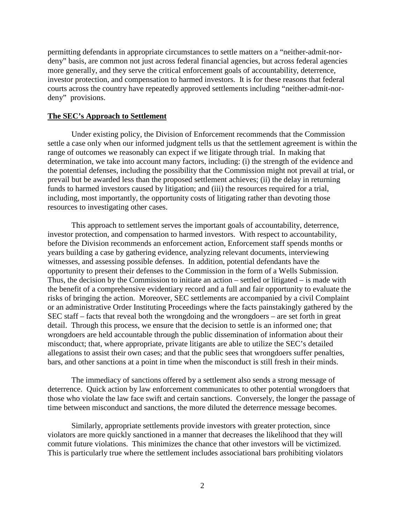permitting defendants in appropriate circumstances to settle matters on a "neither-admit-nordeny" basis, are common not just across federal financial agencies, but across federal agencies more generally, and they serve the critical enforcement goals of accountability, deterrence, investor protection, and compensation to harmed investors. It is for these reasons that federal courts across the country have repeatedly approved settlements including "neither-admit-nordeny" provisions.

### **The SEC's Approach to Settlement**

Under existing policy, the Division of Enforcement recommends that the Commission settle a case only when our informed judgment tells us that the settlement agreement is within the range of outcomes we reasonably can expect if we litigate through trial. In making that determination, we take into account many factors, including: (i) the strength of the evidence and the potential defenses, including the possibility that the Commission might not prevail at trial, or prevail but be awarded less than the proposed settlement achieves; (ii) the delay in returning funds to harmed investors caused by litigation; and (iii) the resources required for a trial, including, most importantly, the opportunity costs of litigating rather than devoting those resources to investigating other cases.

This approach to settlement serves the important goals of accountability, deterrence, investor protection, and compensation to harmed investors. With respect to accountability, before the Division recommends an enforcement action, Enforcement staff spends months or years building a case by gathering evidence, analyzing relevant documents, interviewing witnesses, and assessing possible defenses. In addition, potential defendants have the opportunity to present their defenses to the Commission in the form of a Wells Submission. Thus, the decision by the Commission to initiate an action – settled or litigated – is made with the benefit of a comprehensive evidentiary record and a full and fair opportunity to evaluate the risks of bringing the action. Moreover, SEC settlements are accompanied by a civil Complaint or an administrative Order Instituting Proceedings where the facts painstakingly gathered by the SEC staff – facts that reveal both the wrongdoing and the wrongdoers – are set forth in great detail. Through this process, we ensure that the decision to settle is an informed one; that wrongdoers are held accountable through the public dissemination of information about their misconduct; that, where appropriate, private litigants are able to utilize the SEC's detailed allegations to assist their own cases; and that the public sees that wrongdoers suffer penalties, bars, and other sanctions at a point in time when the misconduct is still fresh in their minds.

The immediacy of sanctions offered by a settlement also sends a strong message of deterrence. Quick action by law enforcement communicates to other potential wrongdoers that those who violate the law face swift and certain sanctions. Conversely, the longer the passage of time between misconduct and sanctions, the more diluted the deterrence message becomes.

Similarly, appropriate settlements provide investors with greater protection, since violators are more quickly sanctioned in a manner that decreases the likelihood that they will commit future violations. This minimizes the chance that other investors will be victimized. This is particularly true where the settlement includes associational bars prohibiting violators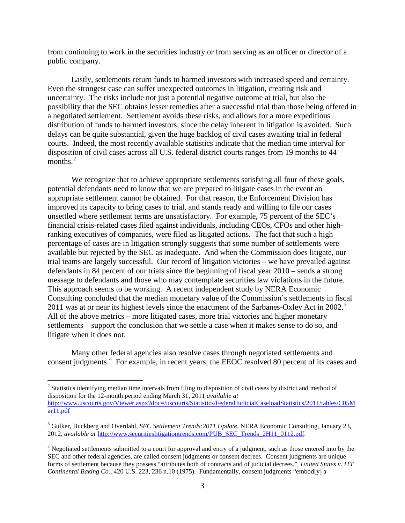from continuing to work in the securities industry or from serving as an officer or director of a public company.

Lastly, settlements return funds to harmed investors with increased speed and certainty. Even the strongest case can suffer unexpected outcomes in litigation, creating risk and uncertainty. The risks include not just a potential negative outcome at trial, but also the possibility that the SEC obtains lesser remedies after a successful trial than those being offered in a negotiated settlement. Settlement avoids these risks, and allows for a more expeditious distribution of funds to harmed investors, since the delay inherent in litigation is avoided. Such delays can be quite substantial, given the huge backlog of civil cases awaiting trial in federal courts. Indeed, the most recently available statistics indicate that the median time interval for disposition of civil cases across all U.S. federal district courts ranges from 19 months to 44 months. [2](#page-2-0)

We recognize that to achieve appropriate settlements satisfying all four of these goals, potential defendants need to know that we are prepared to litigate cases in the event an appropriate settlement cannot be obtained. For that reason, the Enforcement Division has improved its capacity to bring cases to trial, and stands ready and willing to file our cases unsettled where settlement terms are unsatisfactory. For example, 75 percent of the SEC's financial crisis-related cases filed against individuals, including CEOs, CFOs and other highranking executives of companies, were filed as litigated actions. The fact that such a high percentage of cases are in litigation strongly suggests that some number of settlements were available but rejected by the SEC as inadequate. And when the Commission does litigate, our trial teams are largely successful. Our record of litigation victories – we have prevailed against defendants in 84 percent of our trials since the beginning of fiscal year 2010 – sends a strong message to defendants and those who may contemplate securities law violations in the future. This approach seems to be working. A recent independent study by NERA Economic Consulting concluded that the median monetary value of the Commission's settlements in fiscal 2011 was at or near its highest levels since the enactment of the Sarbanes-Oxley Act in 2002.<sup>[3](#page-2-1)</sup> All of the above metrics – more litigated cases, more trial victories and higher monetary settlements – support the conclusion that we settle a case when it makes sense to do so, and litigate when it does not.

Many other federal agencies also resolve cases through negotiated settlements and consent judgments.<sup>[4](#page-2-2)</sup> For example, in recent years, the EEOC resolved 80 percent of its cases and

<span id="page-2-0"></span><sup>&</sup>lt;sup>2</sup> Statistics identifying median time intervals from filing to disposition of civil cases by district and method of disposition for the 12-month period ending March 31, 2011 *available at* 

[http://www.uscourts.gov/Viewer.aspx?doc=/uscourts/Statistics/FederalJudicialCaseloadStatistics/2011/tables/C05M](http://www.uscourts.gov/Viewer.aspx?doc=/uscourts/Statistics/FederalJudicialCaseloadStatistics/2011/tables/C05Mar11.pdf)  $ar1.$ pdf

<span id="page-2-1"></span><sup>3</sup> Gulker, Buckberg and Overdahl, *SEC Settlement Trends:2011 Update*, NERA Economic Consulting, January 23, 2012, *available at* [http://www.securitieslitigationtrends.com/PUB\\_SEC\\_Trends\\_2H11\\_0112.pdf.](http://www.securitieslitigationtrends.com/PUB_SEC_Trends_2H11_0112.pdf)

<span id="page-2-2"></span><sup>4</sup> Negotiated settlements submitted to a court for approval and entry of a judgment, such as those entered into by the SEC and other federal agencies, are called consent judgments or consent decrees. Consent judgments are unique forms of settlement because they possess "attributes both of contracts and of judicial decrees." *United States v. ITT Continental Baking Co.*, 420 U.S. 223, 236 n.10 (1975). Fundamentally, consent judgments "embod[y] a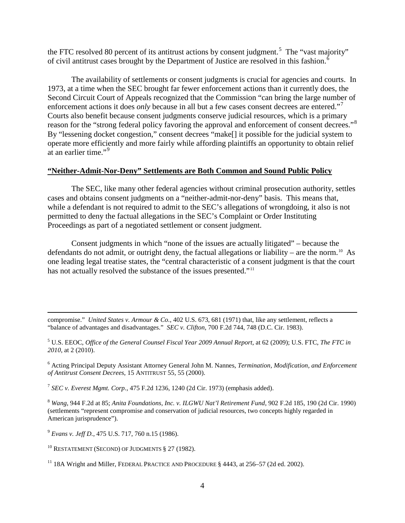the FTC resolved 80 percent of its antitrust actions by consent judgment.<sup>[5](#page-3-0)</sup> The "vast majority" of civil antitrust cases brought by the Department of Justice are resolved in this fashion.<sup>[6](#page-3-1)</sup>

The availability of settlements or consent judgments is crucial for agencies and courts. In 1973, at a time when the SEC brought far fewer enforcement actions than it currently does, the Second Circuit Court of Appeals recognized that the Commission "can bring the large number of enforcement actions it does *only* because in all but a few cases consent decrees are entered."<sup>[7](#page-3-2)</sup> Courts also benefit because consent judgments conserve judicial resources, which is a primary reason for the "strong federal policy favoring the approval and enforcement of consent decrees."[8](#page-3-3) By "lessening docket congestion," consent decrees "make[] it possible for the judicial system to operate more efficiently and more fairly while affording plaintiffs an opportunity to obtain relief at an earlier time."<sup>[9](#page-3-4)</sup>

# **"Neither-Admit-Nor-Deny" Settlements are Both Common and Sound Public Policy**

The SEC, like many other federal agencies without criminal prosecution authority, settles cases and obtains consent judgments on a "neither-admit-nor-deny" basis. This means that, while a defendant is not required to admit to the SEC's allegations of wrongdoing, it also is not permitted to deny the factual allegations in the SEC's Complaint or Order Instituting Proceedings as part of a negotiated settlement or consent judgment.

Consent judgments in which "none of the issues are actually litigated" – because the defendants do not admit, or outright deny, the factual allegations or liability – are the norm.<sup>[10](#page-3-5)</sup> As one leading legal treatise states, the "central characteristic of a consent judgment is that the court has not actually resolved the substance of the issues presented."<sup>[11](#page-3-6)</sup>

compromise." *United States v. Armour & Co.*, 402 U.S. 673, 681 (1971) that, like any settlement, reflects a "balance of advantages and disadvantages." *SEC v. Clifton*, 700 F.2d 744, 748 (D.C. Cir. 1983).

<span id="page-3-0"></span><sup>5</sup> U.S. EEOC, *Office of the General Counsel Fiscal Year 2009 Annual Report*, at 62 (2009); U.S. FTC, *The FTC in 2010*, at 2 (2010).

<span id="page-3-1"></span><sup>6</sup> Acting Principal Deputy Assistant Attorney General John M. Nannes, *Termination, Modification, and Enforcement of Antitrust Consent Decrees*, 15 ANTITRUST 55, 55 (2000).

<span id="page-3-2"></span><sup>7</sup> *SEC v. Everest Mgmt. Corp.*, 475 F.2d 1236, 1240 (2d Cir. 1973) (emphasis added).

<span id="page-3-3"></span><sup>8</sup> *Wang*, 944 F.2d at 85; *Anita Foundations, Inc. v. ILGWU Nat'l Retirement Fund*, 902 F.2d 185, 190 (2d Cir. 1990) (settlements "represent compromise and conservation of judicial resources, two concepts highly regarded in American jurisprudence").

<span id="page-3-4"></span><sup>9</sup> *Evans v. Jeff D.*, 475 U.S. 717, 760 n.15 (1986).

 $\overline{\phantom{0}}$ 

<span id="page-3-5"></span> $10$  RESTATEMENT (SECOND) OF JUDGMENTS § 27 (1982).

<span id="page-3-6"></span><sup>11</sup> 18A Wright and Miller, FEDERAL PRACTICE AND PROCEDURE § 4443, at 256–57 (2d ed. 2002).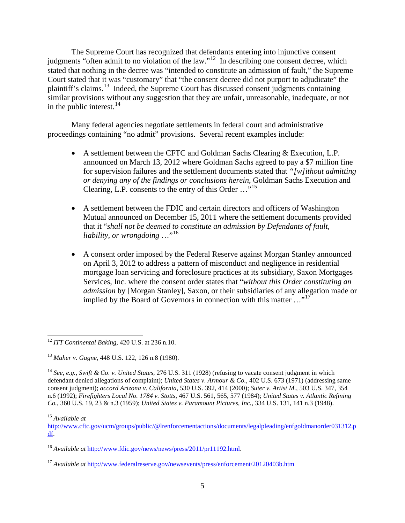The Supreme Court has recognized that defendants entering into injunctive consent judgments "often admit to no violation of the law."<sup>[12](#page-4-0)</sup> In describing one consent decree, which stated that nothing in the decree was "intended to constitute an admission of fault," the Supreme Court stated that it was "customary" that "the consent decree did not purport to adjudicate" the plaintiff's claims.[13](#page-4-1) Indeed, the Supreme Court has discussed consent judgments containing similar provisions without any suggestion that they are unfair, unreasonable, inadequate, or not in the public interest.  $14$ 

Many federal agencies negotiate settlements in federal court and administrative proceedings containing "no admit" provisions. Several recent examples include:

- A settlement between the CFTC and Goldman Sachs Clearing & Execution, L.P. announced on March 13, 2012 where Goldman Sachs agreed to pay a \$7 million fine for supervision failures and the settlement documents stated that *"[w]ithout admitting or denying any of the findings or conclusions herein*, Goldman Sachs Execution and Clearing, L.P. consents to the entry of this Order ..."<sup>[15](#page-4-3)</sup>
- A settlement between the FDIC and certain directors and officers of Washington Mutual announced on December 15, 2011 where the settlement documents provided that it "*shall not be deemed to constitute an admission by Defendants of fault, liability, or wrongdoing* …"[16](#page-4-4)
- A consent order imposed by the Federal Reserve against Morgan Stanley announced on April 3, 2012 to address a pattern of misconduct and negligence in residential mortgage loan servicing and foreclosure practices at its subsidiary, Saxon Mortgages Services, Inc. where the consent order states that "*without this Order constituting an admission* by [Morgan Stanley], Saxon, or their subsidiaries of any allegation made or implied by the Board of Governors in connection with this matter  $\ldots$ <sup>[17](#page-4-5)</sup>

<span id="page-4-0"></span><sup>12</sup> *ITT Continental Baking*, 420 U.S. at 236 n.10.

<span id="page-4-1"></span><sup>13</sup> *Maher v. Gagne*, 448 U.S. 122, 126 n.8 (1980).

<span id="page-4-2"></span><sup>14</sup> *See, e.g., Swift & Co. v. United States*, 276 U.S. 311 (1928) (refusing to vacate consent judgment in which defendant denied allegations of complaint); *United States v. Armour & Co.*, 402 U.S. 673 (1971) (addressing same consent judgment); *accord Arizona v. California*, 530 U.S. 392, 414 (2000); *Suter v. Artist M.*, 503 U.S. 347, 354 n.6 (1992); *Firefighters Local No. 1784 v. Stotts*, 467 U.S. 561, 565, 577 (1984); *United States v. Atlantic Refining Co.*, 360 U.S. 19, 23 & n.3 (1959); *United States v. Paramount Pictures, Inc.*, 334 U.S. 131, 141 n.3 (1948).

<span id="page-4-3"></span><sup>15</sup> *Available at*

[http://www.cftc.gov/ucm/groups/public/@lrenforcementactions/documents/legalpleading/enfgoldmanorder031312.p](http://www.cftc.gov/ucm/groups/public/@lrenforcementactions/documents/legalpleading/enfgoldmanorder031312.pdf) [df.](http://www.cftc.gov/ucm/groups/public/@lrenforcementactions/documents/legalpleading/enfgoldmanorder031312.pdf)

<span id="page-4-4"></span><sup>&</sup>lt;sup>16</sup> *Available at [http://www.fdic.gov/news/news/press/2011/pr11192.html.](http://www.fdic.gov/news/news/press/2011/pr11192.html)* 

<span id="page-4-5"></span><sup>17</sup> *Available at* <http://www.federalreserve.gov/newsevents/press/enforcement/20120403b.htm>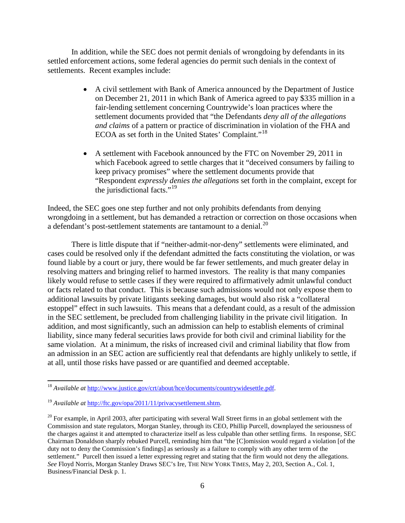In addition, while the SEC does not permit denials of wrongdoing by defendants in its settled enforcement actions, some federal agencies do permit such denials in the context of settlements. Recent examples include:

- A civil settlement with Bank of America announced by the Department of Justice on December 21, 2011 in which Bank of America agreed to pay \$335 million in a fair-lending settlement concerning Countrywide's loan practices where the settlement documents provided that "the Defendants *deny all of the allegations and claims* of a pattern or practice of discrimination in violation of the FHA and ECOA as set forth in the United States' Complaint."[18](#page-5-0)
- A settlement with Facebook announced by the FTC on November 29, 2011 in which Facebook agreed to settle charges that it "deceived consumers by failing to keep privacy promises" where the settlement documents provide that "Respondent *expressly denies the allegations* set forth in the complaint, except for the jurisdictional facts."<sup>[19](#page-5-1)</sup>

Indeed, the SEC goes one step further and not only prohibits defendants from denying wrongdoing in a settlement, but has demanded a retraction or correction on those occasions when a defendant's post-settlement statements are tantamount to a denial. $^{20}$  $^{20}$  $^{20}$ 

There is little dispute that if "neither-admit-nor-deny" settlements were eliminated, and cases could be resolved only if the defendant admitted the facts constituting the violation, or was found liable by a court or jury, there would be far fewer settlements, and much greater delay in resolving matters and bringing relief to harmed investors. The reality is that many companies likely would refuse to settle cases if they were required to affirmatively admit unlawful conduct or facts related to that conduct. This is because such admissions would not only expose them to additional lawsuits by private litigants seeking damages, but would also risk a "collateral estoppel" effect in such lawsuits. This means that a defendant could, as a result of the admission in the SEC settlement, be precluded from challenging liability in the private civil litigation. In addition, and most significantly, such an admission can help to establish elements of criminal liability, since many federal securities laws provide for both civil and criminal liability for the same violation. At a minimum, the risks of increased civil and criminal liability that flow from an admission in an SEC action are sufficiently real that defendants are highly unlikely to settle, if at all, until those risks have passed or are quantified and deemed acceptable.

<span id="page-5-0"></span><sup>&</sup>lt;sup>18</sup> *Available at* [http://www.justice.gov/crt/about/hce/documents/countrywidesettle.pdf.](http://www.justice.gov/crt/about/hce/documents/countrywidesettle.pdf)

<span id="page-5-1"></span><sup>19</sup> *Available at* [http://ftc.gov/opa/2011/11/privacysettlement.shtm.](http://ftc.gov/opa/2011/11/privacysettlement.shtm)

<span id="page-5-2"></span> $^{20}$  For example, in April 2003, after participating with several Wall Street firms in an global settlement with the Commission and state regulators, Morgan Stanley, through its CEO, Phillip Purcell, downplayed the seriousness of the charges against it and attempted to characterize itself as less culpable than other settling firms. In response, SEC Chairman Donaldson sharply rebuked Purcell, reminding him that "the [C]omission would regard a violation [of the duty not to deny the Commission's findings] as seriously as a failure to comply with any other term of the settlement." Purcell then issued a letter expressing regret and stating that the firm would not deny the allegations. *See* Floyd Norris, Morgan Stanley Draws SEC's Ire, THE NEW YORK TIMES, May 2, 203, Section A., Col. 1, Business/Financial Desk p. 1.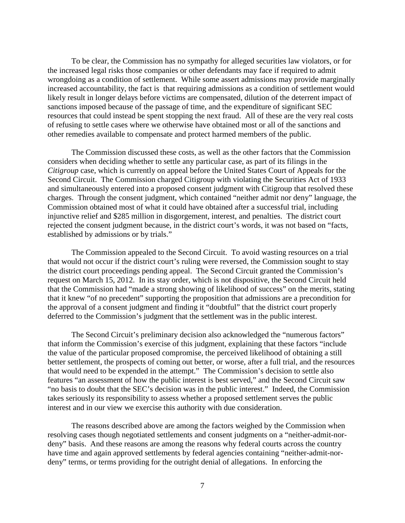To be clear, the Commission has no sympathy for alleged securities law violators, or for the increased legal risks those companies or other defendants may face if required to admit wrongdoing as a condition of settlement. While some assert admissions may provide marginally increased accountability, the fact is that requiring admissions as a condition of settlement would likely result in longer delays before victims are compensated, dilution of the deterrent impact of sanctions imposed because of the passage of time, and the expenditure of significant SEC resources that could instead be spent stopping the next fraud. All of these are the very real costs of refusing to settle cases where we otherwise have obtained most or all of the sanctions and other remedies available to compensate and protect harmed members of the public.

The Commission discussed these costs, as well as the other factors that the Commission considers when deciding whether to settle any particular case, as part of its filings in the *Citigroup* case, which is currently on appeal before the United States Court of Appeals for the Second Circuit. The Commission charged Citigroup with violating the Securities Act of 1933 and simultaneously entered into a proposed consent judgment with Citigroup that resolved these charges. Through the consent judgment, which contained "neither admit nor deny" language, the Commission obtained most of what it could have obtained after a successful trial, including injunctive relief and \$285 million in disgorgement, interest, and penalties. The district court rejected the consent judgment because, in the district court's words, it was not based on "facts, established by admissions or by trials."

The Commission appealed to the Second Circuit. To avoid wasting resources on a trial that would not occur if the district court's ruling were reversed, the Commission sought to stay the district court proceedings pending appeal. The Second Circuit granted the Commission's request on March 15, 2012. In its stay order, which is not dispositive, the Second Circuit held that the Commission had "made a strong showing of likelihood of success" on the merits, stating that it knew "of no precedent" supporting the proposition that admissions are a precondition for the approval of a consent judgment and finding it "doubtful" that the district court properly deferred to the Commission's judgment that the settlement was in the public interest.

The Second Circuit's preliminary decision also acknowledged the "numerous factors" that inform the Commission's exercise of this judgment, explaining that these factors "include the value of the particular proposed compromise, the perceived likelihood of obtaining a still better settlement, the prospects of coming out better, or worse, after a full trial, and the resources that would need to be expended in the attempt." The Commission's decision to settle also features "an assessment of how the public interest is best served," and the Second Circuit saw "no basis to doubt that the SEC's decision was in the public interest." Indeed, the Commission takes seriously its responsibility to assess whether a proposed settlement serves the public interest and in our view we exercise this authority with due consideration.

The reasons described above are among the factors weighed by the Commission when resolving cases though negotiated settlements and consent judgments on a "neither-admit-nordeny" basis. And these reasons are among the reasons why federal courts across the country have time and again approved settlements by federal agencies containing "neither-admit-nordeny" terms, or terms providing for the outright denial of allegations. In enforcing the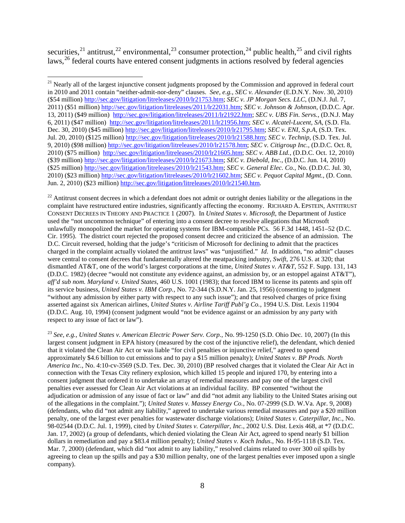securities,<sup>[21](#page-7-0)</sup> antitrust,<sup>[22](#page-7-1)</sup> environmental,<sup>[23](#page-7-2)</sup> consumer protection,<sup>[24](#page-7-3)</sup> public health,<sup>[25](#page-7-2)</sup> and civil rights laws,<sup>[26](#page-7-4)</sup> federal courts have entered consent judgments in actions resolved by federal agencies

ı

<span id="page-7-1"></span> $22$  Antitrust consent decrees in which a defendant does not admit or outright denies liability or the allegations in the complaint have restructured entire industries, significantly affecting the economy. RICHARD A. EPSTEIN, ANTITRUST CONSENT DECREES IN THEORY AND PRACTICE 1 (2007). In *United States v. Microsoft*, the Department of Justice used the "not uncommon technique" of entering into a consent decree to resolve allegations that Microsoft unlawfully monopolized the market for operating systems for IBM-compatible PCs. 56 F.3d 1448, 1451–52 (D.C. Cir. 1995). The district court rejected the proposed consent decree and criticized the absence of an admission. The D.C. Circuit reversed, holding that the judge's "criticism of Microsoft for declining to admit that the practices charged in the complaint actually violated the antitrust laws" was "unjustified." *Id*. In addition, "no admit" clauses were central to consent decrees that fundamentally altered the meatpacking industry, *Swift*, 276 U.S. at 320; that dismantled AT&T, one of the world's largest corporations at the time, *United States v. AT&T*, 552 F. Supp. 131, 143 (D.D.C. 1982) (decree "would not constitute any evidence against, an admission by, or an estoppel against AT&T"), *aff'd sub nom. Maryland v. United States*, 460 U.S. 1001 (1983); that forced IBM to license its patents and spin off its service business, *United States v. IBM Corp.*, No. 72-344 (S.D.N.Y. Jan. 25, 1956) (consenting to judgment "without any admission by either party with respect to any such issue"); and that resolved charges of price fixing asserted against six American airlines, *United States v. Airline Tariff Publ'g Co.*, 1994 U.S. Dist. Lexis 11904 (D.D.C. Aug. 10, 1994) (consent judgment would "not be evidence against or an admission by any party with respect to any issue of fact or law").

<span id="page-7-4"></span><span id="page-7-3"></span><span id="page-7-2"></span><sup>23</sup> *See, e.g., United States v. American Electric Power Serv. Corp.*, No. 99-1250 (S.D. Ohio Dec. 10, 2007) (In this largest consent judgment in EPA history (measured by the cost of the injunctive relief), the defendant, which denied that it violated the Clean Air Act or was liable "for civil penalties or injunctive relief," agreed to spend approximately \$4.6 billion to cut emissions and to pay a \$15 million penalty); *United States v. BP Prods. North America Inc.*, No. 4:10-cv-3569 (S.D. Tex. Dec. 30, 2010) (BP resolved charges that it violated the Clear Air Act in connection with the Texas City refinery explosion, which killed 15 people and injured 170, by entering into a consent judgment that ordered it to undertake an array of remedial measures and pay one of the largest civil penalties ever assessed for Clean Air Act violations at an individual facility. BP consented "without the adjudication or admission of any issue of fact or law" and did "not admit any liability to the United States arising out of the allegations in the complaint."); *United States v. Massey Energy Co.*, No. 07-2999 (S.D. W.Va. Apr. 9, 2008) (defendants, who did "not admit any liability," agreed to undertake various remedial measures and pay a \$20 million penalty, one of the largest ever penalties for wastewater discharge violations); *United States v. Caterpillar*, *Inc.*, No. 98-02544 (D.D.C. Jul. 1, 1999), cited by *United States v. Caterpillar, Inc.*, 2002 U.S. Dist. Lexis 468, at \*7 (D.D.C. Jan. 17, 2002) (a group of defendants, which denied violating the Clean Air Act, agreed to spend nearly \$1 billion dollars in remediation and pay a \$83.4 million penalty); *United States v. Koch Indus*., No. H-95-1118 (S.D. Tex. Mar. 7, 2000) (defendant, which did "not admit to any liability," resolved claims related to over 300 oil spills by agreeing to clean up the spills and pay a \$30 million penalty, one of the largest penalties ever imposed upon a single company).

<span id="page-7-0"></span><sup>&</sup>lt;sup>21</sup> Nearly all of the largest injunctive consent judgments proposed by the Commission and approved in federal court in 2010 and 2011 contain "neither-admit-nor-deny" clauses. *See, e.g.*, *SEC v. Alexander* (E.D.N.Y. Nov. 30, 2010) (\$54 million) [http://sec.gov/litigation/litreleases/2010/lr21753.htm;](http://sec.gov/litigation/litreleases/2010/lr21753.htm) *SEC v. JP Morgan Secs. LLC*, (D.N.J. Jul. 7, 2011) (\$51 million) [http://sec.gov/litigation/litreleases/2011/lr22031.htm;](http://sec.gov/litigation/litreleases/2011/lr22031.htm) *SEC v. Johnson & Johnson*, (D.D.C. Apr. 13, 2011) (\$49 million) [http://sec.gov/litigation/litreleases/2011/lr21922.htm;](http://sec.gov/litigation/litreleases/2011/lr21922.htm) *SEC v. UBS Fin. Servs.*, (D.N.J. May 6, 2011) (\$47 million) [http://sec.gov/litigation/litreleases/2011/lr21956.htm;](http://sec.gov/litigation/litreleases/2011/lr21956.htm) *SEC v. Alcatel-Lucent*, *SA*, (S.D. Fla. Dec. 30, 2010) (\$45 million) [http://sec.gov/litigation/litreleases/2010/lr21795.htm;](http://sec.gov/litigation/litreleases/2010/lr21795.htm) *SEC v. ENI, S.p.A*, (S.D. Tex. Jul. 20, 2010) (\$125 million) [http://sec.gov/litigation/litreleases/2010/lr21588.htm;](http://sec.gov/litigation/litreleases/2010/lr21588.htm) *SEC v. Technip*, (S.D. Tex. Jul. 9, 2010) (\$98 million) [http://sec.gov/litigation/litreleases/2010/lr21578.htm;](http://sec.gov/litigation/litreleases/2010/lr21578.htm) *SEC v. Citigroup Inc.*, (D.D.C. Oct. 8, 2010) (\$75 million) [http://sec.gov/litigation/litreleases/2010/lr21605.htm;](http://sec.gov/litigation/litreleases/2010/lr21605.htm) *SEC v. ABB Ltd.*, (D.D.C. Oct. 12, 2010) (\$39 million) [http://sec.gov/litigation/litreleases/2010/lr21673.htm;](http://sec.gov/litigation/litreleases/2010/lr21673.htm) *SEC v. Diebold, Inc.*, (D.D.C. Jun. 14, 2010) (\$25 million) [http://sec.gov/litigation/litreleases/2010/lr21543.htm;](http://sec.gov/litigation/litreleases/2010/lr21543.htm) *SEC v. General Elec. Co.*, No. (D.D.C. Jul. 30, 2010) (\$23 million) [http://sec.gov/litigation/litreleases/2010/lr21602.htm;](http://sec.gov/litigation/litreleases/2010/lr21602.htm) *SEC v. Pequot Capital Mgmt.*, (D. Conn. Jun. 2, 2010) (\$23 million) [http://sec.gov/litigation/litreleases/2010/lr21540.htm.](http://sec.gov/litigation/litreleases/2010/lr21540.htm)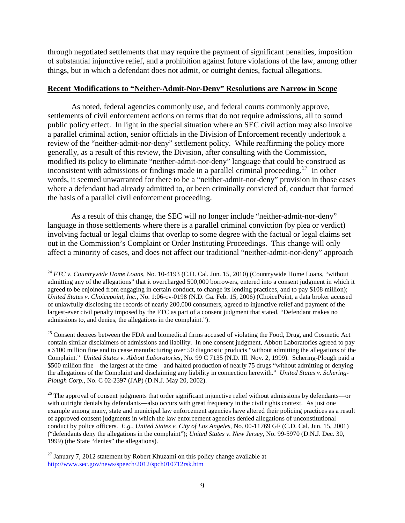through negotiated settlements that may require the payment of significant penalties, imposition of substantial injunctive relief, and a prohibition against future violations of the law, among other things, but in which a defendant does not admit, or outright denies, factual allegations.

### **Recent Modifications to "Neither-Admit-Nor-Deny" Resolutions are Narrow in Scope**

As noted, federal agencies commonly use, and federal courts commonly approve, settlements of civil enforcement actions on terms that do not require admissions, all to sound public policy effect. In light in the special situation where an SEC civil action may also involve a parallel criminal action, senior officials in the Division of Enforcement recently undertook a review of the "neither-admit-nor-deny" settlement policy. While reaffirming the policy more generally, as a result of this review, the Division, after consulting with the Commission, modified its policy to eliminate "neither-admit-nor-deny" language that could be construed as inconsistent with admissions or findings made in a parallel criminal proceeding.<sup>[27](#page-8-0)</sup> In other words, it seemed unwarranted for there to be a "neither-admit-nor-deny" provision in those cases where a defendant had already admitted to, or been criminally convicted of, conduct that formed the basis of a parallel civil enforcement proceeding.

As a result of this change, the SEC will no longer include "neither-admit-nor-deny" language in those settlements where there is a parallel criminal conviction (by plea or verdict) involving factual or legal claims that overlap to some degree with the factual or legal claims set out in the Commission's Complaint or Order Instituting Proceedings. This change will only affect a minority of cases, and does not affect our traditional "neither-admit-nor-deny" approach

<sup>25</sup> Consent decrees between the FDA and biomedical firms accused of violating the Food, Drug, and Cosmetic Act contain similar disclaimers of admissions and liability. In one consent judgment, Abbott Laboratories agreed to pay a \$100 million fine and to cease manufacturing over 50 diagnostic products "without admitting the allegations of the Complaint." *United States v. Abbott Laboratories*, No. 99 C 7135 (N.D. Ill. Nov. 2, 1999). Schering-Plough paid a \$500 million fine—the largest at the time—and halted production of nearly 75 drugs "without admitting or denying the allegations of the Complaint and disclaiming any liability in connection herewith." *United States v. Schering-Plough Corp.*, No. C 02-2397 (JAP) (D.N.J. May 20, 2002).

 $^{26}$  The approval of consent judgments that order significant injunctive relief without admissions by defendants—or with outright denials by defendants—also occurs with great frequency in the civil rights context. As just one example among many, state and municipal law enforcement agencies have altered their policing practices as a result of approved consent judgments in which the law enforcement agencies denied allegations of unconstitutional conduct by police officers. *E.g.*, *United States v. City of Los Angeles*, No. 00-11769 GF (C.D. Cal. Jun. 15, 2001) ("defendants deny the allegations in the complaint"); *United States v. New Jersey*, No. 99-5970 (D.N.J. Dec. 30, 1999) (the State "denies" the allegations).

<sup>&</sup>lt;sup>24</sup> *FTC v. Countrywide Home Loans*, No. 10-4193 (C.D. Cal. Jun. 15, 2010) (Countrywide Home Loans, "without admitting any of the allegations" that it overcharged 500,000 borrowers, entered into a consent judgment in which it agreed to be enjoined from engaging in certain conduct, to change its lending practices, and to pay \$108 million); *United States v. Choicepoint, Inc.*, No. 1:06-cv-0198 (N.D. Ga. Feb. 15, 2006) (ChoicePoint, a data broker accused of unlawfully disclosing the records of nearly 200,000 consumers, agreed to injunctive relief and payment of the largest-ever civil penalty imposed by the FTC as part of a consent judgment that stated, "Defendant makes no admissions to, and denies, the allegations in the complaint.").

<span id="page-8-0"></span> $^{27}$  January 7, 2012 statement by Robert Khuzami on this policy change available at <http://www.sec.gov/news/speech/2012/spch010712rsk.htm>